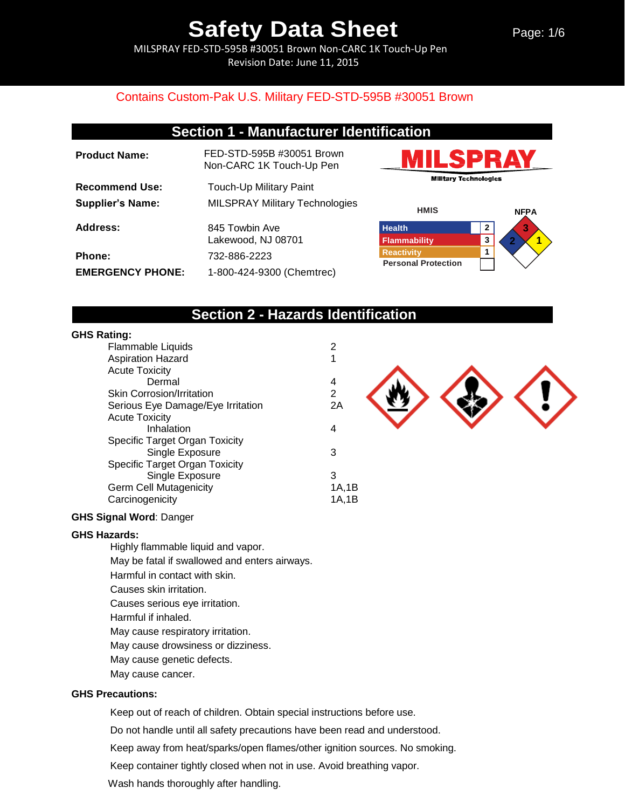Page: 1/6

MILSPRAY FED-STD-595B #30051 Brown Non-CARC 1K Touch-Up Pen Revision Date: June 11, 2015

### Contains Custom-Pak U.S. Military FED-STD-595B #30051 Brown

## **Section 1 - Manufacturer Identification**

| <b>Product Name:</b>    | FED-STD-595B #30051 Brown<br>Non-CARC 1K Touch-Up Pen |
|-------------------------|-------------------------------------------------------|
| <b>Recommend Use:</b>   | Touch-Up Military Paint                               |
| <b>Supplier's Name:</b> | <b>MILSPRAY Military Technologies</b>                 |
| Address:                | 845 Towbin Ave<br>Lakewood, NJ 08701                  |
| <b>Phone:</b>           | 732-886-2223                                          |
| <b>EMERGENCY PHONE:</b> | 1-800-424-9300 (Chemtrec)                             |





## **Section 2 - Hazards Identification**

### **GHS Rating:**

| Flammable Liquids                 | 2            |
|-----------------------------------|--------------|
| <b>Aspiration Hazard</b>          | 1            |
| <b>Acute Toxicity</b>             |              |
| Dermal                            | 4            |
| <b>Skin Corrosion/Irritation</b>  | $\mathbf{2}$ |
| Serious Eye Damage/Eye Irritation | 2A           |
| <b>Acute Toxicity</b>             |              |
| Inhalation                        | 4            |
| Specific Target Organ Toxicity    |              |
| Single Exposure                   | 3            |
| Specific Target Organ Toxicity    |              |
| Single Exposure                   | 3            |
| <b>Germ Cell Mutagenicity</b>     | 1A,1B        |
| Carcinogenicity                   | 1A.1B        |
|                                   |              |

### **GHS Signal Word**: Danger

### **GHS Hazards:**

Highly flammable liquid and vapor. May be fatal if swallowed and enters airways. Harmful in contact with skin. Causes skin irritation. Causes serious eye irritation. Harmful if inhaled. May cause respiratory irritation. May cause drowsiness or dizziness. May cause genetic defects. May cause cancer.

### **GHS Precautions:**

Keep out of reach of children. Obtain special instructions before use.

Do not handle until all safety precautions have been read and understood.

Keep away from heat/sparks/open flames/other ignition sources. No smoking.

Keep container tightly closed when not in use. Avoid breathing vapor.

Wash hands thoroughly after handling.

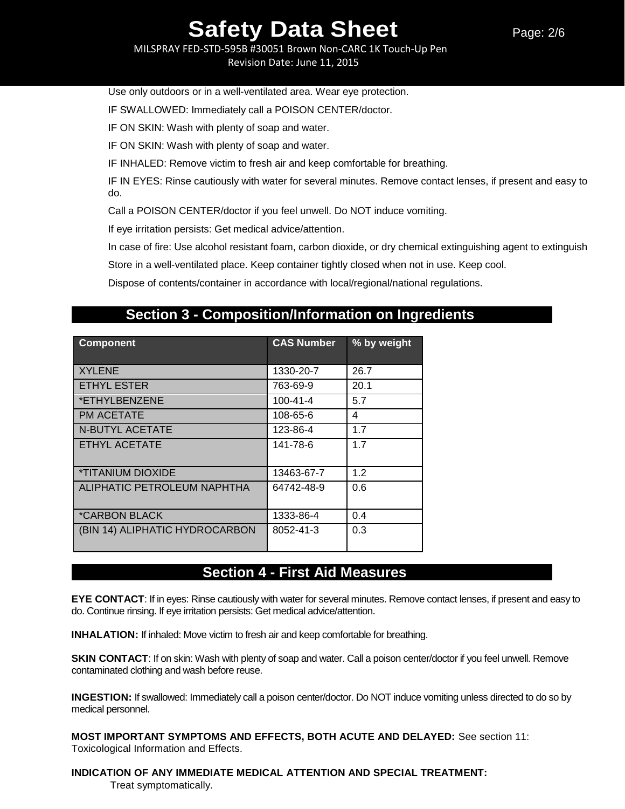MILSPRAY FED-STD-595B #30051 Brown Non-CARC 1K Touch-Up Pen Revision Date: June 11, 2015

Use only outdoors or in a well-ventilated area. Wear eye protection.

IF SWALLOWED: Immediately call a POISON CENTER/doctor.

IF ON SKIN: Wash with plenty of soap and water.

IF ON SKIN: Wash with plenty of soap and water.

IF INHALED: Remove victim to fresh air and keep comfortable for breathing.

IF IN EYES: Rinse cautiously with water for several minutes. Remove contact lenses, if present and easy to do.

Call a POISON CENTER/doctor if you feel unwell. Do NOT induce vomiting.

If eye irritation persists: Get medical advice/attention.

In case of fire: Use alcohol resistant foam, carbon dioxide, or dry chemical extinguishing agent to extinguish

Store in a well-ventilated place. Keep container tightly closed when not in use. Keep cool.

Dispose of contents/container in accordance with local/regional/national regulations.

## **Section 3 - Composition/Information on Ingredients**

| <b>Component</b>                | <b>CAS Number</b> | % by weight |
|---------------------------------|-------------------|-------------|
| <b>XYLENE</b>                   | 1330-20-7         | 26.7        |
| <b>ETHYL ESTER</b>              | 763-69-9          | 20.1        |
| *ETHYLBENZENE                   | $100 - 41 - 4$    | 5.7         |
| <b>PM ACETATE</b>               | 108-65-6          | 4           |
| N-BUTYL ACETATE                 | 123-86-4          | 1.7         |
| ETHYL ACETATE                   | 141-78-6          | 1.7         |
| <i><b>*TITANIUM DIOXIDE</b></i> | 13463-67-7        | 1.2         |
| ALIPHATIC PETROLEUM NAPHTHA     | 64742-48-9        | 0.6         |
| <i><b>*CARBON BLACK</b></i>     | 1333-86-4         | 0.4         |
| (BIN 14) ALIPHATIC HYDROCARBON  | 8052-41-3         | 0.3         |

## **Section 4 - First Aid Measures**

**EYE CONTACT**: If in eyes: Rinse cautiously with water for several minutes. Remove contact lenses, if present and easy to do. Continue rinsing. If eye irritation persists: Get medical advice/attention.

**INHALATION:** If inhaled: Move victim to fresh air and keep comfortable for breathing.

**SKIN CONTACT:** If on skin: Wash with plenty of soap and water. Call a poison center/doctor if you feel unwell. Remove contaminated clothing and wash before reuse.

**INGESTION:** If swallowed: Immediately call a poison center/doctor. Do NOT induce vomiting unless directed to do so by medical personnel.

**MOST IMPORTANT SYMPTOMS AND EFFECTS, BOTH ACUTE AND DELAYED:** See section 11: Toxicological Information and Effects.

## **INDICATION OF ANY IMMEDIATE MEDICAL ATTENTION AND SPECIAL TREATMENT:**

Treat symptomatically.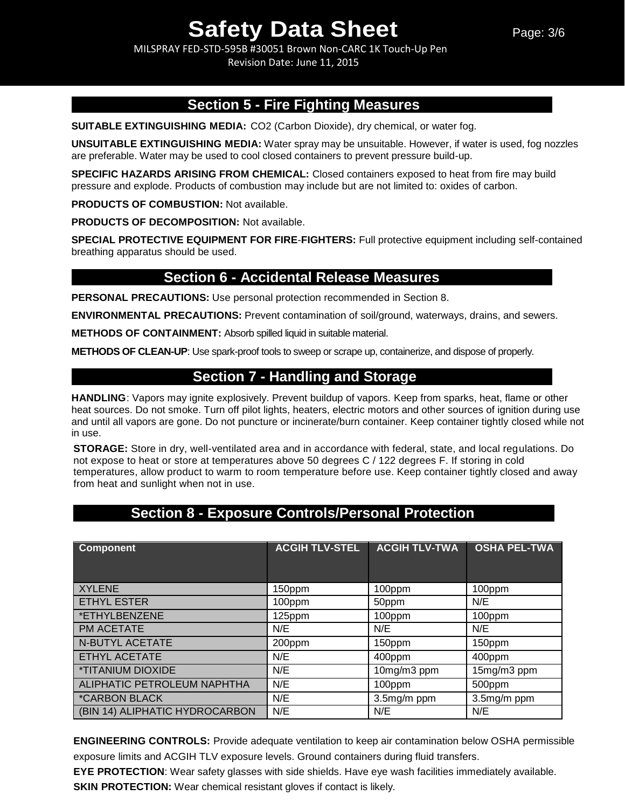MILSPRAY FED-STD-595B #30051 Brown Non-CARC 1K Touch-Up Pen Revision Date: June 11, 2015

## **Section 5 - Fire Fighting Measures**

**SUITABLE EXTINGUISHING MEDIA:** CO2 (Carbon Dioxide), dry chemical, or water fog.

**UNSUITABLE EXTINGUISHING MEDIA:** Water spray may be unsuitable. However, if water is used, fog nozzles are preferable. Water may be used to cool closed containers to prevent pressure build-up.

**SPECIFIC HAZARDS ARISING FROM CHEMICAL:** Closed containers exposed to heat from fire may build pressure and explode. Products of combustion may include but are not limited to: oxides of carbon.

**PRODUCTS OF COMBUSTION:** Not available.

**PRODUCTS OF DECOMPOSITION:** Not available.

**SPECIAL PROTECTIVE EQUIPMENT FOR FIRE**-**FIGHTERS:** Full protective equipment including self-contained breathing apparatus should be used.

### **Section 6 - Accidental Release Measures**

**PERSONAL PRECAUTIONS:** Use personal protection recommended in Section 8.

**ENVIRONMENTAL PRECAUTIONS:** Prevent contamination of soil/ground, waterways, drains, and sewers.

**METHODS OF CONTAINMENT:** Absorb spilled liquid in suitable material.

**METHODS OF CLEAN-UP**: Use spark-proof tools to sweep or scrape up, containerize, and dispose of properly.

## **Section 7 - Handling and Storage**

**HANDLING**: Vapors may ignite explosively. Prevent buildup of vapors. Keep from sparks, heat, flame or other heat sources. Do not smoke. Turn off pilot lights, heaters, electric motors and other sources of ignition during use and until all vapors are gone. Do not puncture or incinerate/burn container. Keep container tightly closed while not in use.

**STORAGE:** Store in dry, well-ventilated area and in accordance with federal, state, and local regulations. Do not expose to heat or store at temperatures above 50 degrees C / 122 degrees F. If storing in cold temperatures, allow product to warm to room temperature before use. Keep container tightly closed and away from heat and sunlight when not in use.

## **Section 8 - Exposure Controls/Personal Protection**

| <b>Component</b>               | <b>ACGIH TLV-STEL</b> | <b>ACGIH TLV-TWA</b> | <b>OSHA PEL-TWA</b> |
|--------------------------------|-----------------------|----------------------|---------------------|
| <b>XYLENE</b>                  | 150ppm                | 100ppm               | 100ppm              |
| <b>ETHYL ESTER</b>             | 100ppm                | 50ppm                | N/E                 |
| *ETHYLBENZENE                  | 125ppm                | 100ppm               | 100ppm              |
| PM ACETATE                     | N/E                   | N/E                  | N/E                 |
| N-BUTYL ACETATE                | 200ppm                | 150ppm               | 150ppm              |
| ETHYL ACETATE                  | N/E                   | 400ppm               | 400ppm              |
| *TITANIUM DIOXIDE              | N/E                   | 10mg/m3 ppm          | 15mg/m3 ppm         |
| ALIPHATIC PETROLEUM NAPHTHA    | N/E                   | 100ppm               | 500ppm              |
| *CARBON BLACK                  | N/E                   | 3.5mg/m ppm          | 3.5mg/m ppm         |
| (BIN 14) ALIPHATIC HYDROCARBON | N/E                   | N/E                  | N/E                 |

**ENGINEERING CONTROLS:** Provide adequate ventilation to keep air contamination below OSHA permissible exposure limits and ACGIH TLV exposure levels. Ground containers during fluid transfers.

**EYE PROTECTION**: Wear safety glasses with side shields. Have eye wash facilities immediately available.

**SKIN PROTECTION:** Wear chemical resistant gloves if contact is likely.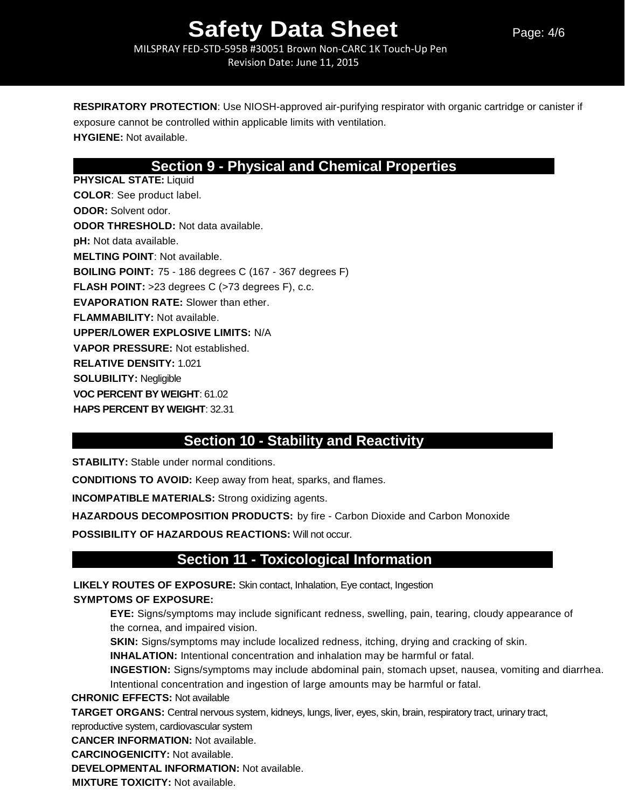MILSPRAY FED-STD-595B #30051 Brown Non-CARC 1K Touch-Up Pen Revision Date: June 11, 2015

**RESPIRATORY PROTECTION**: Use NIOSH-approved air-purifying respirator with organic cartridge or canister if exposure cannot be controlled within applicable limits with ventilation. **HYGIENE:** Not available.

## **Section 9 - Physical and Chemical Properties**

**PHYSICAL STATE:** Liquid **COLOR**: See product label. **ODOR:** Solvent odor. **ODOR THRESHOLD:** Not data available. **pH:** Not data available. **MELTING POINT**: Not available. **BOILING POINT:** 75 - 186 degrees C (167 - 367 degrees F) **FLASH POINT:** >23 degrees C (>73 degrees F), c.c. **EVAPORATION RATE:** Slower than ether. **FLAMMABILITY:** Not available. **UPPER/LOWER EXPLOSIVE LIMITS:** N/A **VAPOR PRESSURE:** Not established. **RELATIVE DENSITY:** 1.021 **SOLUBILITY:** Negligible **VOC PERCENT BY WEIGHT**: 61.02 **HAPS PERCENT BY WEIGHT**: 32.31

## **Section 10 - Stability and Reactivity**

**STABILITY:** Stable under normal conditions.

**CONDITIONS TO AVOID:** Keep away from heat, sparks, and flames.

**INCOMPATIBLE MATERIALS:** Strong oxidizing agents.

**HAZARDOUS DECOMPOSITION PRODUCTS:** by fire - Carbon Dioxide and Carbon Monoxide

**POSSIBILITY OF HAZARDOUS REACTIONS:** Will not occur.

## **Section 11 - Toxicological Information**

**LIKELY ROUTES OF EXPOSURE:** Skin contact, Inhalation, Eye contact, Ingestion **SYMPTOMS OF EXPOSURE:**

**EYE:** Signs/symptoms may include significant redness, swelling, pain, tearing, cloudy appearance of the cornea, and impaired vision.

**SKIN:** Signs/symptoms may include localized redness, itching, drying and cracking of skin.

**INHALATION:** Intentional concentration and inhalation may be harmful or fatal.

**INGESTION:** Signs/symptoms may include abdominal pain, stomach upset, nausea, vomiting and diarrhea.

Intentional concentration and ingestion of large amounts may be harmful or fatal.

**CHRONIC EFFECTS:** Not available

**TARGET ORGANS:** Central nervous system, kidneys, lungs, liver, eyes, skin, brain, respiratory tract, urinary tract,

reproductive system, cardiovascular system

**CANCER INFORMATION:** Not available.

**CARCINOGENICITY:** Not available.

**DEVELOPMENTAL INFORMATION:** Not available.

**MIXTURE TOXICITY:** Not available.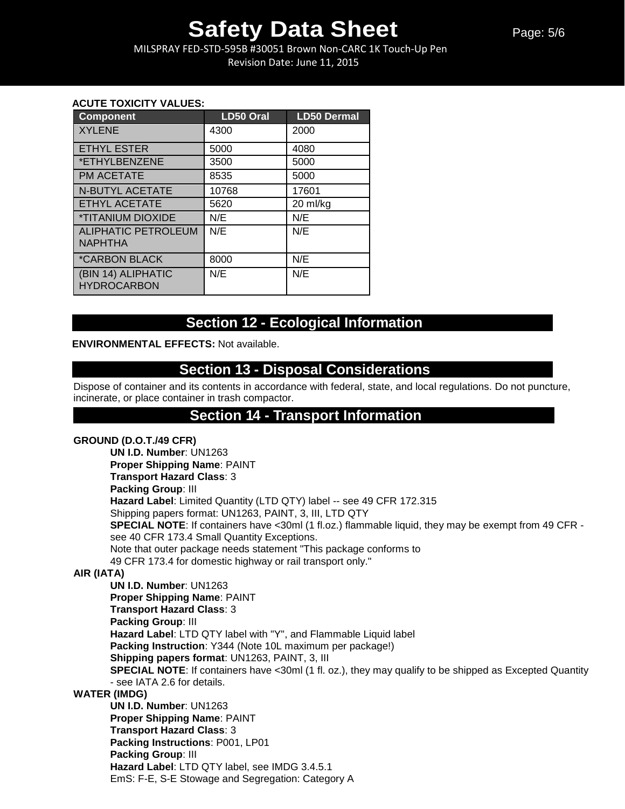MILSPRAY FED-STD-595B #30051 Brown Non-CARC 1K Touch-Up Pen Revision Date: June 11, 2015

### **ACUTE TOXICITY VALUES:**

| <b>Component</b>                             | <b>LD50 Oral</b> | <b>LD50 Dermal</b> |
|----------------------------------------------|------------------|--------------------|
| <b>XYLENE</b>                                | 4300             | 2000               |
| <b>ETHYL ESTER</b>                           | 5000             | 4080               |
| *ETHYLBENZENE                                | 3500             | 5000               |
| <b>PM ACETATE</b>                            | 8535             | 5000               |
| <b>N-BUTYL ACETATE</b>                       | 10768            | 17601              |
| <b>ETHYL ACETATE</b>                         | 5620             | 20 ml/kg           |
| <i><b>*TITANIUM DIOXIDE</b></i>              | N/E              | N/E                |
| <b>ALIPHATIC PETROLEUM</b><br><b>NAPHTHA</b> | N/E              | N/E                |
| <i><b>*CARBON BLACK</b></i>                  | 8000             | N/E                |
| (BIN 14) ALIPHATIC<br><b>HYDROCARBON</b>     | N/E              | N/E                |

## **Section 12 - Ecological Information**

### **ENVIRONMENTAL EFFECTS:** Not available.

## **Section 13 - Disposal Considerations**

Dispose of container and its contents in accordance with federal, state, and local regulations. Do not puncture, incinerate, or place container in trash compactor.

## **Section 14 - Transport Information**

### **GROUND (D.O.T./49 CFR)**

**UN I.D. Number**: UN1263 **Proper Shipping Name**: PAINT **Transport Hazard Class**: 3 **Packing Group**: III **Hazard Label**: Limited Quantity (LTD QTY) label -- see 49 CFR 172.315 Shipping papers format: UN1263, PAINT, 3, III, LTD QTY **SPECIAL NOTE:** If containers have <30ml (1 fl.oz.) flammable liquid, they may be exempt from 49 CFR see 40 CFR 173.4 Small Quantity Exceptions. Note that outer package needs statement "This package conforms to 49 CFR 173.4 for domestic highway or rail transport only."

### **AIR (IATA)**

**UN I.D. Number**: UN1263 **Proper Shipping Name**: PAINT **Transport Hazard Class**: 3 **Packing Group**: III **Hazard Label**: LTD QTY label with "Y", and Flammable Liquid label **Packing Instruction**: Y344 (Note 10L maximum per package!) **Shipping papers format**: UN1263, PAINT, 3, III **SPECIAL NOTE:** If containers have <30ml (1 fl. oz.), they may qualify to be shipped as Excepted Quantity - see IATA 2.6 for details.

### **WATER (IMDG)**

**UN I.D. Number**: UN1263 **Proper Shipping Name**: PAINT **Transport Hazard Class**: 3 **Packing Instructions**: P001, LP01 **Packing Group**: III **Hazard Label**: LTD QTY label, see IMDG 3.4.5.1 EmS: F-E, S-E Stowage and Segregation: Category A